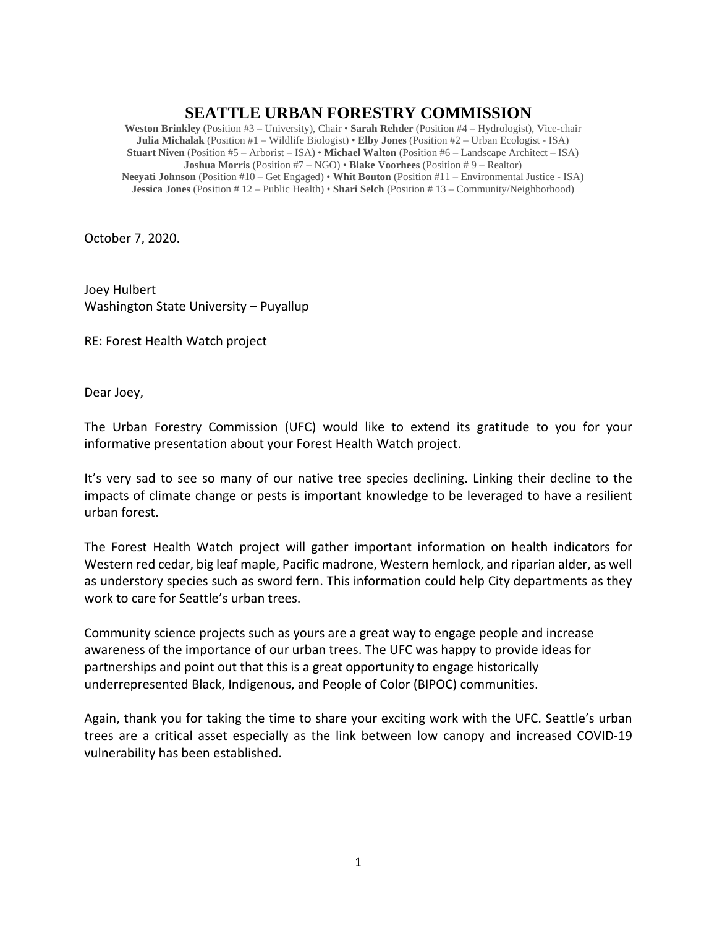## **SEATTLE URBAN FORESTRY COMMISSION**

**Weston Brinkley** (Position #3 – University), Chair • **Sarah Rehder** (Position #4 – Hydrologist), Vice-chair **Julia Michalak** (Position #1 – Wildlife Biologist) • **Elby Jones** (Position #2 – Urban Ecologist - ISA) **Stuart Niven** (Position #5 – Arborist – ISA) • **Michael Walton** (Position #6 – Landscape Architect – ISA) **Joshua Morris** (Position #7 – NGO) • **Blake Voorhees** (Position # 9 – Realtor) **Neeyati Johnson** (Position #10 – Get Engaged) • **Whit Bouton** (Position #11 – Environmental Justice - ISA) **Jessica Jones** (Position # 12 – Public Health) • **Shari Selch** (Position # 13 – Community/Neighborhood)

October 7, 2020.

Joey Hulbert Washington State University – Puyallup

RE: Forest Health Watch project

Dear Joey,

The Urban Forestry Commission (UFC) would like to extend its gratitude to you for your informative presentation about your Forest Health Watch project.

It's very sad to see so many of our native tree species declining. Linking their decline to the impacts of climate change or pests is important knowledge to be leveraged to have a resilient urban forest.

The Forest Health Watch project will gather important information on health indicators for Western red cedar, big leaf maple, Pacific madrone, Western hemlock, and riparian alder, as well as understory species such as sword fern. This information could help City departments as they work to care for Seattle's urban trees.

Community science projects such as yours are a great way to engage people and increase awareness of the importance of our urban trees. The UFC was happy to provide ideas for partnerships and point out that this is a great opportunity to engage historically underrepresented Black, Indigenous, and People of Color (BIPOC) communities.

Again, thank you for taking the time to share your exciting work with the UFC. Seattle's urban trees are a critical asset especially as the link between low canopy and increased COVID-19 vulnerability has been established.